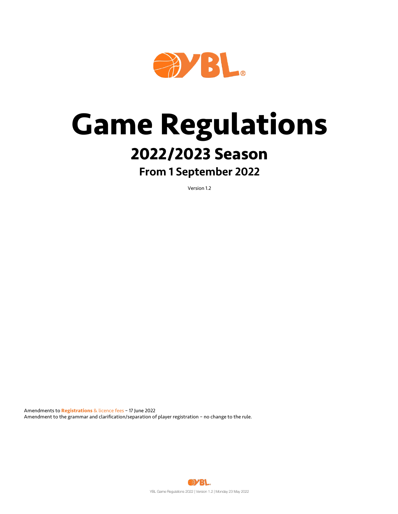

# **Game Regulations**

## **2022/2023 Season**

## From 1 September 2022

Version 1.2

Amendments to **Registrations** & licence fees – 17 June 2022 Amendment to the grammar and clarification/separation of player registration – no change to the rule.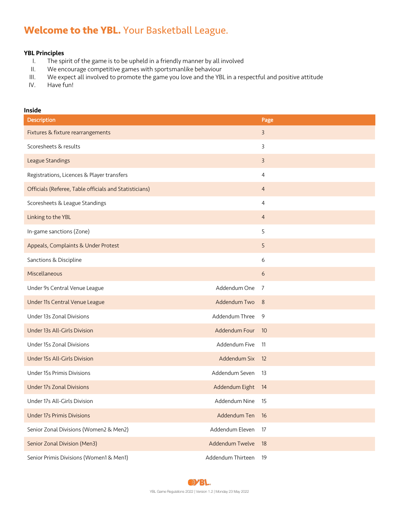## **Welcome to the YBL.** Your Basketball League.

### YBL Principles

- I. The spirit of the game is to be upheld in a friendly manner by all involved
- II. We encourage competitive games with sportsmanlike behaviour
- III. We expect all involved to promote the game you love and the YBL in a respectful and positive attitude IV.
- Have fun!

### Inside

| Description                                            |                   | Page            |
|--------------------------------------------------------|-------------------|-----------------|
| Fixtures & fixture rearrangements                      |                   | $\overline{3}$  |
| Scoresheets & results                                  |                   | 3               |
| League Standings                                       |                   | 3               |
| Registrations, Licences & Player transfers             |                   | 4               |
| Officials (Referee, Table officials and Statisticians) |                   | $\overline{4}$  |
| Scoresheets & League Standings                         |                   | 4               |
| Linking to the YBL                                     |                   | $\overline{4}$  |
| In-game sanctions (Zone)                               |                   | 5               |
| Appeals, Complaints & Under Protest                    |                   | 5               |
| Sanctions & Discipline                                 |                   | 6               |
| Miscellaneous                                          |                   | 6               |
| Under 9s Central Venue League                          | Addendum One      | 7               |
| Under 11s Central Venue League                         | Addendum Two      | -8              |
| Under 13s Zonal Divisions                              | Addendum Three    | 9               |
| Under 13s All-Girls Division                           | Addendum Four     | $\overline{10}$ |
| Under 15s Zonal Divisions                              | Addendum Five     | -11             |
| Under 15s All-Girls Division                           | Addendum Six      | 12              |
| Under 15s Primis Divisions                             | Addendum Seven    | 13              |
| <b>Under 17s Zonal Divisions</b>                       | Addendum Eight 14 |                 |
| Under 17s All-Girls Division                           | Addendum Nine     | - 15            |
| <b>Under 17s Primis Divisions</b>                      | Addendum Ten      | - 16            |
| Senior Zonal Divisions (Women2 & Men2)                 | Addendum Eleven   | 17              |
| Senior Zonal Division (Men3)                           | Addendum Twelve   | 18              |
| Senior Primis Divisions (Women1 & Men1)                | Addendum Thirteen | 19              |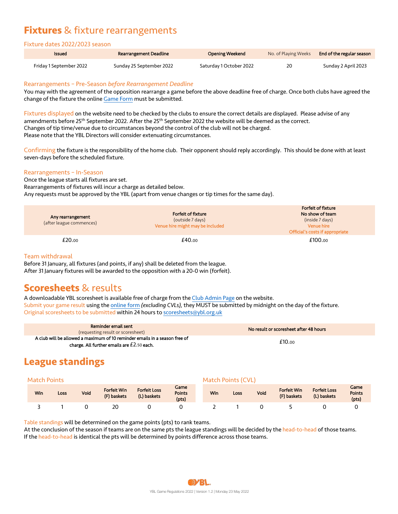## **Fixtures** & fixture rearrangements

### Fixture dates 2022/2023 season

| Issued                  | Rearrangement Deadline   | Opening Weekend         | No. of Playing Weeks | End of the regular season |
|-------------------------|--------------------------|-------------------------|----------------------|---------------------------|
| Friday 1 September 2022 | Sunday 25 September 2022 | Saturday 1 October 2022 | 20                   | Sunday 2 April 2023       |

### Rearrangements – Pre-Season *before Rearrangement Deadline*

You may with the agreement of the opposition rearrange a game before the above deadline free of charge. Once both clubs have agreed the change of the fixture the online Game Form must be submitted.

Fixtures displayed on the website need to be checked by the clubs to ensure the correct details are displayed. Please advise of any amendments before 25<sup>th</sup> September 2022. After the 25<sup>th</sup> September 2022 the website will be deemed as the correct. Changes of tip time/venue due to circumstances beyond the control of the club will not be charged. Please note that the YBL Directors will consider extenuating circumstances.

Confirming the fixture is the responsibility of the home club. Their opponent should reply accordingly. This should be done with at least seven-days before the scheduled fixture.

### Rearrangements – In-Season

Once the league starts all fixtures are set. Rearrangements of fixtures will incur a charge as detailed below. Any requests must be approved by the YBL (apart from venue changes or tip times for the same day).

| Any rearrangement<br>(after league commences) | Forfeit of fixture<br>(outside 7 days)<br>Venue hire might may be included | Forfeit of fixture<br>No show of team<br>(inside 7 days)<br>Venue hire<br>Official's costs if appropriate |
|-----------------------------------------------|----------------------------------------------------------------------------|-----------------------------------------------------------------------------------------------------------|
| £20.00                                        | £40.00                                                                     | £100.00                                                                                                   |

### Team withdrawal

Before 31 January, all fixtures (and points, if any) shall be deleted from the league. After 31 January fixtures will be awarded to the opposition with a 20-0 win (forfeit).

### **Scoresheets** & results

A downloadable YBL scoresheet is available free of charge from the Club Admin Page on the website. Submit your game result using the online form *(excluding CVLs),* they MUST be submitted by midnight on the day of the fixture. Original scoresheets to be submitted within 24 hours to scoresheets@ybl.org.uk

| Reminder email sent<br>(requesting result or scoresheet)                                                                   | No result or scoresheet after 48 hours |
|----------------------------------------------------------------------------------------------------------------------------|----------------------------------------|
| A club will be allowed a maximum of 10 reminder emails in a season free of<br>charge. All further emails are $£2.50$ each. | £10.00                                 |

## **League standings**

|  |  | <b>Match Points</b> |
|--|--|---------------------|
|  |  |                     |

| Win | Loss | Void | Forfeit Win<br>(F) baskets | <b>Forfeit Loss</b><br>(L) baskets | Game<br><b>Points</b><br>(pts) | <b>Win</b> | Loss | Void | <b>Forfeit Win</b><br>(F) baskets | <b>Forfeit Loss</b><br>(L) baskets | Game<br><b>Points</b><br>(pts) |
|-----|------|------|----------------------------|------------------------------------|--------------------------------|------------|------|------|-----------------------------------|------------------------------------|--------------------------------|
|     |      |      | 2C                         |                                    |                                |            |      |      |                                   |                                    |                                |

Match Points (CVL)

Table standings will be determined on the game points (pts) to rank teams.

At the conclusion of the season if teams are on the same pts the league standings will be decided by the head-to-head of those teams. If the head-to-head is identical the pts will be determined by points difference across those teams.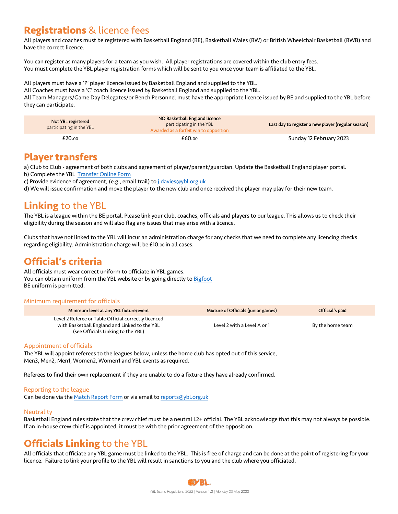## **Registrations** & licence fees

All players and coaches must be registered with Basketball England (BE), Basketball Wales (BW) or British Wheelchair Basketball (BWB) and have the correct licence.

You can register as many players for a team as you wish. All player registrations are covered within the club entry fees. You must complete the YBL player registration forms which will be sent to you once your team is affiliated to the YBL.

All players must have a 'P' player licence issued by Basketball England and supplied to the YBL.

All Coaches must have a 'C' coach licence issued by Basketball England and supplied to the YBL.

All Team Managers/Game Day Delegates/or Bench Personnel must have the appropriate licence issued by BE and supplied to the YBL before they can participate.

| Not YBL registered<br>participating in the YBL | NO Basketball England licence<br>participating in the YBL<br>Awarded as a forfeit win to opposition | Last day to register a new player (regular season) |
|------------------------------------------------|-----------------------------------------------------------------------------------------------------|----------------------------------------------------|
| £20.00                                         | £60.00                                                                                              | Sunday 12 February 2023                            |

### **Player transfers**

a) Club to Club - agreement of both clubs and agreement of player/parent/guardian. Update the Basketball England player portal. b) Complete the YBL Transfer Online Form

c) Provide evidence of agreement, (e.g., email trail) to j.davies@ybl.org.uk

d) We will issue confirmation and move the player to the new club and once received the player may play for their new team.

### **Linking** to the YBL

The YBL is a league within the BE portal. Please link your club, coaches, officials and players to our league. This allows us to check their eligibility during the season and will also flag any issues that may arise with a licence.

Clubs that have not linked to the YBL will incur an administration charge for any checks that we need to complete any licencing checks regarding eligibility. Administration charge will be £10.00 in all cases.

## **Official's criteria**

All officials must wear correct uniform to officiate in YBL games. You can obtain uniform from the YBL website or by going directly to Bigfoot BE uniform is permitted.

### Minimum requirement for officials

| Minimum level at any YBL fixture/event                                                                                                      | Mixture of Officials (junior games) | Official's paid  |
|---------------------------------------------------------------------------------------------------------------------------------------------|-------------------------------------|------------------|
| Level 2 Referee or Table Official correctly licenced<br>with Basketball England and Linked to the YBL<br>(see Officials Linking to the YBL) | Level 2 with a Level A or 1         | By the home team |

### Appointment of officials

The YBL will appoint referees to the leagues below, unless the home club has opted out of this service, Men3, Men2, Men1, Women2, Women1 and YBL events as required.

Referees to find their own replacement if they are unable to do a fixture they have already confirmed.

### Reporting to the league

Can be done via the Match Report Form or via email to reports@ybl.org.uk

### **Neutrality**

Basketball England rules state that the crew chief must be a neutral L2+ official. The YBL acknowledge that this may not always be possible. If an in-house crew chief is appointed, it must be with the prior agreement of the opposition.

## **Officials Linking** to the YBL

All officials that officiate any YBL game must be linked to the YBL. This is free of charge and can be done at the point of registering for your licence. Failure to link your profile to the YBL will result in sanctions to you and the club where you officiated.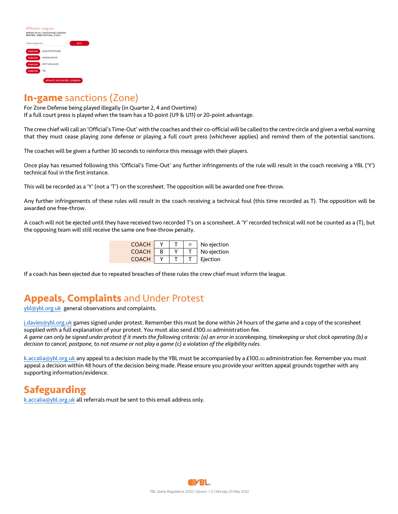| <b>Affiliated Leagues</b><br>APPLIES TO ALL OFFICIATING LICENCES<br>(REFEREE, TABLE OFFICIAL, STATS) |                                  |  |            |  |  |  |  |
|------------------------------------------------------------------------------------------------------|----------------------------------|--|------------|--|--|--|--|
| Select (Optional)                                                                                    |                                  |  | <b>ADD</b> |  |  |  |  |
| <b>REMOVE</b>                                                                                        | <b>GLOUCESTERSHIRE</b>           |  |            |  |  |  |  |
| <b>REMOVE</b>                                                                                        | WARWICKSHIRE                     |  |            |  |  |  |  |
| <b>REMOVE</b>                                                                                        | <b>WEST MIDLANDS</b>             |  |            |  |  |  |  |
| <b>REMOVE</b>                                                                                        | <b>YBL</b>                       |  |            |  |  |  |  |
|                                                                                                      | <b>UPDATE AFFILIATED LEAGUES</b> |  |            |  |  |  |  |

### **In-game** sanctions (Zone)

For Zone Defense being played illegally (in Quarter 2, 4 and Overtime) If a full court press is played when the team has a 10-point (U9 & U11) or 20-point advantage.

The crew chief will call an 'Official's Time-Out' with the coaches and their co-official will be called to the centre circle and given a verbal warning that they must cease playing zone defense or playing a full court press (whichever applies) and remind them of the potential sanctions.

The coaches will be given a further 30 seconds to reinforce this message with their players.

Once play has resumed following this 'Official's Time-Out' any further infringements of the rule will result in the coach receiving a YBL ('Y') technical foul in the first instance.

This will be recorded as a 'Y' (not a 'T') on the scoresheet. The opposition will be awarded one free-throw.

Any further infringements of these rules will result in the coach receiving a technical foul (this time recorded as T). The opposition will be awarded one free-throw.

A coach will not be ejected until they have received two recorded T's on a scoresheet. A 'Y' recorded technical will not be counted as a (T), but the opposing team will still receive the same one free-throw penalty.

| <b>COACH</b> |  | No ejection |
|--------------|--|-------------|
| <b>COACH</b> |  | No ejection |
| COACH        |  | Eiection    |

If a coach has been ejected due to repeated breaches of these rules the crew chief must inform the league.

## **Appeals, Complaints** and Under Protest

ybl@ybl.org.uk general observations and complaints.

j.davies@ybl.org.uk games signed under protest. Remember this must be done within 24 hours of the game and a copy of the scoresheet supplied with a full explanation of your protest. You must also send £100.00 administration fee. *A game can only be signed under protest if it meets the following criteria: (a) an error in scorekeeping, timekeeping or shot clock operating (b) a decision to cancel, postpone, to not resume or not play a game (c) a violation of the eligibility rules.* 

k.accalia@ybl.org.uk any appeal to a decision made by the YBL must be accompanied by a £100.00 administration fee. Remember you must appeal a decision within 48 hours of the decision being made. Please ensure you provide your written appeal grounds together with any supporting information/evidence.

## **Safeguarding**

k.accalia@ybl.org.uk all referrals must be sent to this email address only.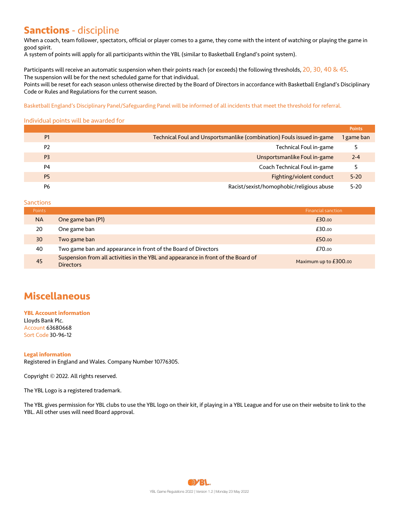## **Sanctions** - discipline

When a coach, team follower, spectators, official or player comes to a game, they come with the intent of watching or playing the game in good spirit.

A system of points will apply for all participants within the YBL (similar to Basketball England's point system).

Participants will receive an automatic suspension when their points reach (or exceeds) the following thresholds,  $20$ ,  $30$ ,  $40$  &  $45$ . The suspension will be for the next scheduled game for that individual.

Points will be reset for each season unless otherwise directed by the Board of Directors in accordance with Basketball England's Disciplinary Code or Rules and Regulations for the current season.

Basketball England's Disciplinary Panel/Safeguarding Panel will be informed of all incidents that meet the threshold for referral.

### Individual points will be awarded for

|                |                                                                       | Points     |
|----------------|-----------------------------------------------------------------------|------------|
| <b>P1</b>      | Technical Foul and Unsportsmanlike (combination) Fouls issued in-game | 1 game ban |
| P <sub>2</sub> | Technical Foul in-game                                                |            |
| P <sub>3</sub> | Unsportsmanlike Foul in-game                                          | $2 - 4$    |
| P <sub>4</sub> | Coach Technical Foul in-game                                          |            |
| P <sub>5</sub> | Fighting/violent conduct                                              | $5 - 20$   |
| P6             | Racist/sexist/homophobic/religious abuse                              | $5-20$     |

**Sanctions** 

| <b>Points</b> |                                                                                                       | <b>Financial sanction</b> |
|---------------|-------------------------------------------------------------------------------------------------------|---------------------------|
| <b>NA</b>     | One game ban (P1)                                                                                     | £30.00                    |
| 20            | One game ban                                                                                          | £30.00                    |
| 30            | Two game ban                                                                                          | £50.00                    |
| 40            | Two game ban and appearance in front of the Board of Directors                                        | £70.00                    |
| 45            | Suspension from all activities in the YBL and appearance in front of the Board of<br><b>Directors</b> | Maximum up to $£300.00$   |

## **Miscellaneous**

**YBL Account information** Lloyds Bank Plc. Account 63680668 Sort Code 30-96-12

### **Legal information**

Registered in England and Wales. Company Number 10776305.

Copyright © 2022. All rights reserved.

The YBL Logo is a registered trademark.

The YBL gives permission for YBL clubs to use the YBL logo on their kit, if playing in a YBL League and for use on their website to link to the YBL. All other uses will need Board approval.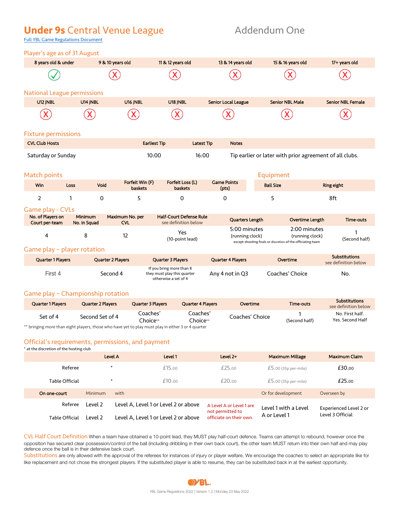## **Under 9s** Central Venue League **Addendum One**

Full YBL Game Regulations Document

| Player's age as of 31 August        |                                |                               |                                                                                 |                                   |                                                                                                |                                              |
|-------------------------------------|--------------------------------|-------------------------------|---------------------------------------------------------------------------------|-----------------------------------|------------------------------------------------------------------------------------------------|----------------------------------------------|
| 8 years old & under                 |                                | 9 & 10 years old              | 11 & 12 years old                                                               | 13 & 14 years old                 | 15 & 16 years old                                                                              | 17+ years old                                |
|                                     |                                |                               |                                                                                 |                                   |                                                                                                |                                              |
| <b>National League permissions</b>  |                                |                               |                                                                                 |                                   |                                                                                                |                                              |
| U12 JNBL                            | U14 INBL                       | U16 JNBL                      | U18 JNBL                                                                        | <b>Senior Local League</b>        | <b>Senior NBL Male</b>                                                                         | <b>Senior NBL Female</b>                     |
|                                     |                                |                               |                                                                                 |                                   |                                                                                                |                                              |
| <b>Fixture permissions</b>          |                                |                               |                                                                                 |                                   |                                                                                                |                                              |
| <b>CVL Club Hosts</b>               |                                |                               | <b>Earliest Tip</b>                                                             | <b>Notes</b><br><b>Latest Tip</b> |                                                                                                |                                              |
| Saturday or Sunday                  |                                |                               | 10:00                                                                           | 16:00                             | Tip earlier or later with prior agreement of all clubs.                                        |                                              |
| <b>Match points</b>                 |                                |                               |                                                                                 |                                   | Equipment                                                                                      |                                              |
| Win                                 | Void<br>Loss                   | Forfeit Win (F)<br>baskets    | Forfeit Loss (L)<br>baskets                                                     | <b>Game Points</b><br>(pts)       | <b>Ball Size</b>                                                                               | Ring eight                                   |
| $\overline{2}$                      | $\mathbf 0$<br>1               | 5                             | $\Omega$                                                                        | 0                                 | 5                                                                                              | 8ft                                          |
| Game play - CVLs                    |                                |                               |                                                                                 |                                   |                                                                                                |                                              |
| No. of Players on<br>Court per-team | <b>Minimum</b><br>No. in Squad | Maximum No. per<br><b>CVL</b> | <b>Half-Court Defense Rule</b><br>see definition below                          | Quarters Length                   | <b>Overtime Length</b>                                                                         | <b>Time-outs</b>                             |
| 4                                   | 8                              | 12                            | Yes<br>(10-point lead)                                                          | 5:00 minutes<br>(running clock)   | 2:00 minutes<br>(running clock)<br>except shooting fouls or discretion of the officiating team | (Second half)                                |
| Game play - player rotation         |                                |                               |                                                                                 |                                   |                                                                                                |                                              |
| Quarter 1 Players                   |                                | Quarter 2 Players             | Quarter 3 Players                                                               | Quarter 4 Players                 | Overtime                                                                                       | <b>Substitutions</b><br>see definition below |
| First 4                             |                                | Second 4                      | If you bring more than 8<br>they must play this quarter<br>otherwise a set of 4 | Any 4 not in Q3                   | Coaches' Choice                                                                                | No.                                          |
| Game play - Championship rotation   |                                |                               |                                                                                 |                                   |                                                                                                |                                              |
| <b>Quarter 1 Players</b>            | Quarter 2 Players              | Quarter 3 Players             | <b>Quarter 4 Players</b>                                                        | Overtime                          | Time-outs                                                                                      | <b>Substitutions</b><br>see definition below |
|                                     |                                |                               |                                                                                 |                                   |                                                                                                |                                              |

Set of 4 Second Set of 4 Coaches' Choice\*\* Coaches' Coaches' Coaches' Choice 1<br>Choice\*\* Coaches' Choice (Second (Second half) No. First half. Yes. Second Half \*\* bringing more than eight players, those who have yet to play must play in either 3 or 4 quarter

### Official's requirements, permissions, and payment

\* at the discretion of the hosting club

|                |         | Level A                              | Level 1 | Level 2+                                     | <b>Maximum Millage</b> | Maximum Claim          |  |
|----------------|---------|--------------------------------------|---------|----------------------------------------------|------------------------|------------------------|--|
| Referee        | $\ast$  |                                      | £15.00  | £25.00                                       | $£5.00(35p per-mile)$  | £30.00                 |  |
| Table Official | $\ast$  |                                      | £10.00  | £20.00                                       | $£5.00(35p per-mile)$  | £25.00                 |  |
| On one-court   | Minimum | with                                 |         |                                              | Or for development     | Overseen by            |  |
| Referee        | Level 2 | Level A, Level 1 or Level 2 or above |         | A Level A or Level 1 are<br>not permitted to | Level 1 with a Level   | Experienced Level 2 or |  |
| Table Official | Level 2 | Level A, Level 1 or Level 2 or above |         | officiate on their own.                      | A or Level 1           | Level 3 Official       |  |

CVL Half Court Definition When a team have obtained a 10-point lead, they MUST play half-court defence. Teams can attempt to rebound, however once the opposition has secured clear possession/control of the ball (including dribbling in their own back court), the other team MUST return into their own half and may play defence once the ball is in their defensive back court.

Substitutions are only allowed with the approval of the referees for instances of injury or player welfare. We encourage the coaches to select an appropriate like for like replacement and not chose the strongest players. If the substituted player is able to resume, they can be substituted back in at the earliest opportunity.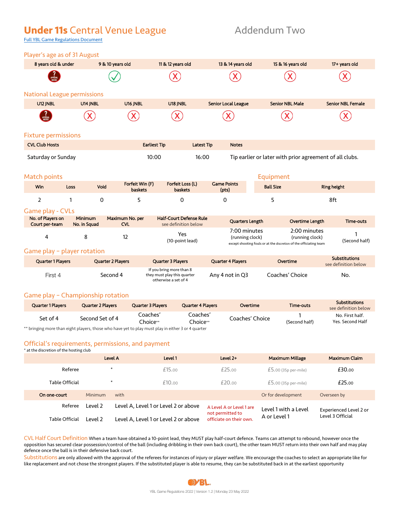## **Under 11s** Central Venue League **Addendum Two**

Full YBL Game Regulations Document

| Player's age as of 31 August                                                                    |                         |                               |                                                                                 |                                 |                                                                                                       |                                              |  |
|-------------------------------------------------------------------------------------------------|-------------------------|-------------------------------|---------------------------------------------------------------------------------|---------------------------------|-------------------------------------------------------------------------------------------------------|----------------------------------------------|--|
| 8 years old & under                                                                             |                         | 9 & 10 years old              | 11 & 12 years old                                                               | 13 & 14 years old               | 15 & 16 years old                                                                                     | 17+ years old                                |  |
|                                                                                                 |                         |                               |                                                                                 |                                 |                                                                                                       |                                              |  |
| <b>National League permissions</b>                                                              |                         |                               |                                                                                 |                                 |                                                                                                       |                                              |  |
| U12 JNBL                                                                                        | U14 JNBL                | U16 JNBL                      | U18 JNBL                                                                        | <b>Senior Local League</b>      | <b>Senior NBL Male</b>                                                                                | <b>Senior NBL Female</b>                     |  |
|                                                                                                 |                         |                               |                                                                                 |                                 |                                                                                                       |                                              |  |
| <b>Fixture permissions</b>                                                                      |                         |                               |                                                                                 |                                 |                                                                                                       |                                              |  |
| <b>CVL Club Hosts</b>                                                                           |                         |                               | <b>Earliest Tip</b><br><b>Latest Tip</b>                                        | <b>Notes</b>                    |                                                                                                       |                                              |  |
| Tip earlier or later with prior agreement of all clubs.<br>Saturday or Sunday<br>10:00<br>16:00 |                         |                               |                                                                                 |                                 |                                                                                                       |                                              |  |
| Match points                                                                                    |                         |                               |                                                                                 |                                 | Equipment                                                                                             |                                              |  |
| <b>Win</b>                                                                                      | Void<br>Loss            | Forfeit Win (F)<br>baskets    | Forfeit Loss (L)<br>baskets                                                     | <b>Game Points</b><br>(pts)     | <b>Ball Size</b>                                                                                      | <b>Ring height</b>                           |  |
| $\overline{2}$                                                                                  | $\mathbf 0$<br>1        | 5                             | $\Omega$                                                                        | 0                               | 5                                                                                                     | 8ft                                          |  |
| Game play - CVLs                                                                                |                         |                               |                                                                                 |                                 |                                                                                                       |                                              |  |
| No. of Players on<br>Court per-team                                                             | Minimum<br>No. in Squad | Maximum No. per<br><b>CVI</b> | <b>Half-Court Defense Rule</b><br>see definition below                          | Quarters Length                 | Overtime Length                                                                                       | Time-outs                                    |  |
| 4                                                                                               | 8                       | 12                            | Yes<br>(10-point lead)                                                          | 7:00 minutes<br>(running clock) | 2:00 minutes<br>(running clock)<br>except shooting fouls or at the discretion of the officiating team | (Second half)                                |  |
| Game play - player rotation                                                                     |                         |                               |                                                                                 |                                 |                                                                                                       |                                              |  |
| Quarter 1 Players                                                                               |                         | <b>Quarter 2 Players</b>      | <b>Quarter 3 Players</b>                                                        | <b>Quarter 4 Players</b>        | Overtime                                                                                              | <b>Substitutions</b><br>see definition below |  |
| First 4                                                                                         |                         | Second 4                      | If you bring more than 8<br>they must play this quarter<br>otherwise a set of 4 | Any 4 not in Q3                 | Coaches' Choice                                                                                       | No.                                          |  |

### Game play – Championship rotation

| <b>Quarter 1 Players</b>                                                                           | <b>Quarter 2 Players</b> | <b>Quarter 3 Players</b> | <b>Quarter 4 Players</b> | Overtime        | Time-outs     | <b>Substitutions</b><br>see definition below |  |  |
|----------------------------------------------------------------------------------------------------|--------------------------|--------------------------|--------------------------|-----------------|---------------|----------------------------------------------|--|--|
| Set of 4                                                                                           | Second Set of 4          | Coaches'<br>Choice**     | Coaches'<br>Choice**     | Coaches' Choice | (Second half) | No. First half.<br>Yes, Second Half          |  |  |
| ** bringing more than eight players, those who have yet to play must play in either 3 or 4 quarter |                          |                          |                          |                 |               |                                              |  |  |

Official's requirements, permissions, and payment

### \* at the discretion of the hosting club

|                |         | Level A                              | Level 1 | Level $2+$                                   | <b>Maximum Millage</b> | <b>Maximum Claim</b>   |  |
|----------------|---------|--------------------------------------|---------|----------------------------------------------|------------------------|------------------------|--|
| Referee        |         | $\ast$                               | £15.00  | £25.00                                       | $£5.00(35p per-mile)$  | £30.00                 |  |
| Table Official |         | $\ast$                               | £10.00  | £20.00                                       | $£5.00(35p per-mile)$  | £25.00                 |  |
| On one-court   | Minimum | with                                 |         |                                              | Or for development     | Overseen by            |  |
| Referee        | Level 2 | Level A. Level 1 or Level 2 or above |         | A Level A or Level 1 are<br>not permitted to | Level 1 with a Level   | Experienced Level 2 or |  |
| Table Official | Level 2 | Level A. Level 1 or Level 2 or above |         | officiate on their own.                      | A or Level 1           | Level 3 Official       |  |

CVL Half Court Definition When a team have obtained a 10-point lead, they MUST play half-court defence. Teams can attempt to rebound, however once the opposition has secured clear possession/control of the ball (including dribbling in their own back court), the other team MUST return into their own half and may play defence once the ball is in their defensive back court.

Substitutions are only allowed with the approval of the referees for instances of injury or player welfare. We encourage the coaches to select an appropriate like for like replacement and not chose the strongest players. If the substituted player is able to resume, they can be substituted back in at the earliest opportunity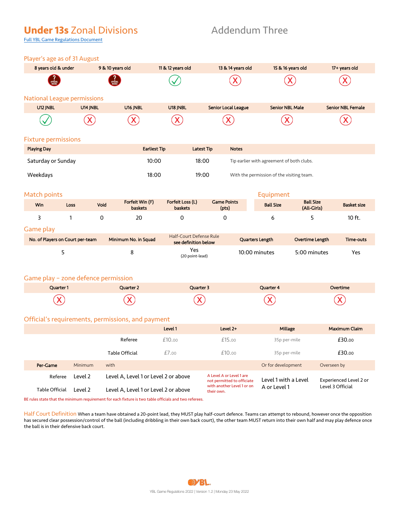## **Under 13s** Zonal Divisions Addendum Three

Full YBL Game Regulations Document

|  |  |  | Player's age as of 31 August |  |
|--|--|--|------------------------------|--|
|  |  |  |                              |  |

| Player's age as of 31 August        |                                                                                                       |                                                   |                                    |                                                                              |                                           |                                 |                          |  |  |  |
|-------------------------------------|-------------------------------------------------------------------------------------------------------|---------------------------------------------------|------------------------------------|------------------------------------------------------------------------------|-------------------------------------------|---------------------------------|--------------------------|--|--|--|
| 8 years old & under                 |                                                                                                       | 9 & 10 years old                                  | 11 & 12 years old                  | 13 & 14 years old                                                            | 15 & 16 years old                         |                                 | 17+ years old            |  |  |  |
|                                     |                                                                                                       |                                                   |                                    |                                                                              |                                           |                                 |                          |  |  |  |
| <b>National League permissions</b>  |                                                                                                       |                                                   |                                    |                                                                              |                                           |                                 |                          |  |  |  |
| U12 JNBL                            | U14 JNBL                                                                                              | U16 JNBL                                          | U18 JNBL                           | <b>Senior Local League</b>                                                   | <b>Senior NBL Male</b>                    |                                 | <b>Senior NBL Female</b> |  |  |  |
|                                     |                                                                                                       |                                                   |                                    |                                                                              |                                           |                                 |                          |  |  |  |
| <b>Fixture permissions</b>          |                                                                                                       |                                                   |                                    |                                                                              |                                           |                                 |                          |  |  |  |
| <b>Playing Day</b>                  |                                                                                                       |                                                   | <b>Earliest Tip</b>                | <b>Latest Tip</b><br><b>Notes</b>                                            |                                           |                                 |                          |  |  |  |
| Saturday or Sunday                  |                                                                                                       |                                                   | 10:00                              | 18:00                                                                        | Tip earlier with agreement of both clubs. |                                 |                          |  |  |  |
| Weekdays                            |                                                                                                       |                                                   | 18:00                              | 19:00                                                                        | With the permission of the visiting team. |                                 |                          |  |  |  |
| Match points                        |                                                                                                       |                                                   |                                    |                                                                              | Equipment                                 |                                 |                          |  |  |  |
| Win                                 | <b>Loss</b>                                                                                           | Forfeit Win (F)<br>Void<br><b>baskets</b>         | Forfeit Loss (L)<br><b>baskets</b> | <b>Game Points</b><br>(pts)                                                  | <b>Ball Size</b>                          | <b>Ball Size</b><br>(All-Girls) | <b>Basket size</b>       |  |  |  |
| 3                                   | 1                                                                                                     | 0<br>20                                           | 0                                  | 0                                                                            | 6                                         | 5                               | 10 ft.                   |  |  |  |
| Game play                           |                                                                                                       |                                                   | Half-Court Defense Rule            |                                                                              |                                           |                                 |                          |  |  |  |
| No. of Players on Court per-team    |                                                                                                       | Minimum No. in Squad                              | see definition below               |                                                                              | Quarters Length                           | Overtime Length                 | Time-outs                |  |  |  |
| 5                                   |                                                                                                       | 8                                                 | Yes<br>(20 point-lead)             |                                                                              | 10:00 minutes                             | 5:00 minutes                    | Yes                      |  |  |  |
| Game play - zone defence permission |                                                                                                       |                                                   |                                    |                                                                              |                                           |                                 |                          |  |  |  |
| Quarter 1                           |                                                                                                       | Quarter 2                                         | Quarter 3                          |                                                                              | Quarter 4                                 |                                 | Overtime                 |  |  |  |
|                                     |                                                                                                       |                                                   |                                    |                                                                              |                                           |                                 |                          |  |  |  |
|                                     |                                                                                                       | Official's requirements, permissions, and payment |                                    |                                                                              |                                           |                                 |                          |  |  |  |
|                                     |                                                                                                       |                                                   | Level 1                            | Level 2+                                                                     | Millage                                   |                                 | <b>Maximum Claim</b>     |  |  |  |
|                                     |                                                                                                       | Referee                                           | £10.00                             | £15.00                                                                       | 35p per-mile                              |                                 | £30.00                   |  |  |  |
|                                     |                                                                                                       | Table Official                                    | £7.00                              | £10.00                                                                       | 35p per-mile                              |                                 | £30.00                   |  |  |  |
| Per-Game                            | Minimum                                                                                               | with                                              |                                    |                                                                              | Or for development                        | Overseen by                     |                          |  |  |  |
| Referee                             | Level 2                                                                                               | Level A, Level 1 or Level 2 or above              |                                    | A Level A or Level 1 are<br>not permitted to officiate                       | Level 1 with a Level                      |                                 | Experienced Level 2 or   |  |  |  |
| Table Official                      | Level 2                                                                                               | Level A, Level 1 or Level 2 or above              |                                    | with another Level 1 or on<br>Level 3 Official<br>A or Level 1<br>their own. |                                           |                                 |                          |  |  |  |
|                                     | BE rules state that the minimum requirement for each fixture is two table officials and two referees. |                                                   |                                    |                                                                              |                                           |                                 |                          |  |  |  |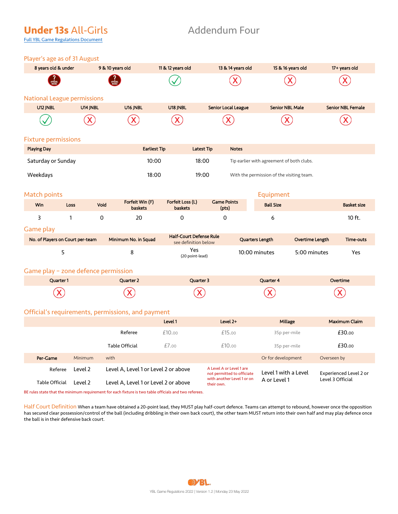## **Under 13s** All-Girls **Addendum Four**

Full YBL Game Regulations Document

### Player's age as of 31 August

| Tidyci biago do UI bi August |             |                    |                                   |                                    |                             |                                           |                          |
|------------------------------|-------------|--------------------|-----------------------------------|------------------------------------|-----------------------------|-------------------------------------------|--------------------------|
| 8 years old & under          |             | 9 & 10 years old   |                                   | 11 & 12 years old                  | 13 & 14 years old           | 15 & 16 years old                         | 17+ years old            |
| <b>PARTICULAR APPROVAL</b>   |             | APPROVAL<br>Needed |                                   |                                    |                             |                                           |                          |
| National League permissions  |             |                    |                                   |                                    |                             |                                           |                          |
| U12 JNBL                     |             | U14 JNBL           | U16 JNBL                          | U18 JNBL                           | Senior Local League         | <b>Senior NBL Male</b>                    | <b>Senior NBL Female</b> |
|                              |             | X                  |                                   |                                    |                             |                                           |                          |
| <b>Fixture permissions</b>   |             |                    |                                   |                                    |                             |                                           |                          |
| <b>Playing Day</b>           |             |                    | <b>Earliest Tip</b>               |                                    | Latest Tip<br><b>Notes</b>  |                                           |                          |
| Saturday or Sunday           |             |                    | 10:00                             |                                    | 18:00                       | Tip earlier with agreement of both clubs. |                          |
| Weekdays                     |             |                    | 18:00                             |                                    | 19:00                       | With the permission of the visiting team. |                          |
| Match points                 |             |                    |                                   |                                    |                             | Equipment                                 |                          |
| Win                          | <b>Loss</b> | Void               | Forfeit Win (F)<br><b>baskets</b> | Forfeit Loss (L)<br><b>baskets</b> | <b>Game Points</b><br>(pts) | <b>Ball Size</b>                          | <b>Basket size</b>       |

### Game play

| No. of Players on Court per-team | Minimum No. in Squad | <b>Half-Court Defense Rule</b><br>see definition below | Quarters Length | Overtime Length | Time-outs |
|----------------------------------|----------------------|--------------------------------------------------------|-----------------|-----------------|-----------|
|                                  |                      | Yes<br>(20 point-lead)                                 | 10:00 minutes   | 5:00 minutes    | Yes       |

3 1 0 20 0 0 6 10 ft.

### Game play – zone defence permission

| Quarter 1 | Quarter 2 | Quarter 3 | Quarter 4 | Overtime |
|-----------|-----------|-----------|-----------|----------|
|           |           |           |           |          |

### Official's requirements, permissions, and payment

|                |                                                 |                                      | Level 1 | Level 2+                                               | Millage              | Maximum Claim          |  |
|----------------|-------------------------------------------------|--------------------------------------|---------|--------------------------------------------------------|----------------------|------------------------|--|
|                |                                                 | Referee                              | £10.00  | £15.00                                                 | 35p per-mile         | £30.00                 |  |
|                |                                                 | Table Official                       | £7.00   | £10.00                                                 | 35p per-mile         | £30.00                 |  |
| Per-Game       | Minimum                                         | with                                 |         |                                                        | Or for development   | Overseen by            |  |
| Referee        | Level 2                                         | Level A, Level 1 or Level 2 or above |         | A Level A or Level 1 are<br>not permitted to officiate | Level 1 with a Level | Experienced Level 2 or |  |
| Table Official | Level A, Level 1 or Level 2 or above<br>Level 2 |                                      |         | with another Level 1 or on<br>their own.               | A or Level 1         | Level 3 Official       |  |

BE rules state that the minimum requirement for each fixture is two table officials and two referees.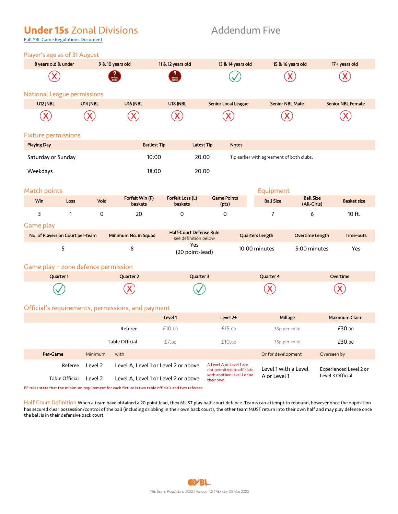## **Under 15s** Zonal Divisions **Addendum Five**

Full YBL Game Regulations Document

| Player's age as of 31 August                         |                |             |                                                   |                                    |                   |                                                        |                                           |                                 |                          |
|------------------------------------------------------|----------------|-------------|---------------------------------------------------|------------------------------------|-------------------|--------------------------------------------------------|-------------------------------------------|---------------------------------|--------------------------|
| 8 years old & under                                  |                |             | 9 & 10 years old                                  | 11 & 12 years old                  |                   | 13 & 14 years old                                      | 15 & 16 years old                         |                                 | 17+ years old            |
|                                                      |                |             |                                                   |                                    |                   |                                                        |                                           |                                 |                          |
| <b>National League permissions</b>                   |                |             |                                                   |                                    |                   |                                                        |                                           |                                 |                          |
| U12 JNBL                                             |                | U14 JNBL    | U16 JNBL                                          | U18 JNBL                           |                   | Senior Local League                                    | <b>Senior NBL Male</b>                    |                                 | <b>Senior NBL Female</b> |
|                                                      |                |             |                                                   |                                    |                   |                                                        |                                           |                                 |                          |
| <b>Fixture permissions</b>                           |                |             |                                                   |                                    |                   |                                                        |                                           |                                 |                          |
| <b>Playing Day</b>                                   |                |             | <b>Earliest Tip</b>                               |                                    | <b>Latest Tip</b> | <b>Notes</b>                                           |                                           |                                 |                          |
| Saturday or Sunday                                   |                |             | 10:00                                             |                                    | 20:00             |                                                        | Tip earlier with agreement of both clubs. |                                 |                          |
| Weekdays                                             |                |             | 18:00                                             |                                    | 20:00             |                                                        |                                           |                                 |                          |
| <b>Match points</b>                                  |                |             |                                                   |                                    |                   |                                                        | Equipment                                 |                                 |                          |
| Win                                                  | <b>Loss</b>    | Void        | Forfeit Win (F)<br><b>baskets</b>                 | Forfeit Loss (L)<br><b>baskets</b> |                   | <b>Game Points</b><br>(pts)                            | <b>Ball Size</b>                          | <b>Ball Size</b><br>(All-Girls) | <b>Basket size</b>       |
| 3                                                    | 1              | $\mathbf 0$ | 20                                                | 0                                  |                   | 0                                                      | $\overline{7}$                            | 6                               | 10 ft.                   |
| <b>Game play</b><br>No. of Players on Court per-team |                |             | Minimum No. in Squad                              | <b>Half-Court Defense Rule</b>     |                   |                                                        | Quarters Length                           | Overtime Length                 | Time-outs                |
|                                                      |                |             |                                                   | see definition below<br>Yes        |                   |                                                        |                                           |                                 |                          |
|                                                      | 5              |             | 8                                                 | (20 point-lead)                    |                   |                                                        | 10:00 minutes                             | 5:00 minutes                    | Yes                      |
| Game play - zone defence permission                  |                |             |                                                   |                                    |                   |                                                        |                                           |                                 |                          |
|                                                      | Quarter 1      |             | Quarter 2                                         |                                    | Quarter 3         |                                                        | <b>Quarter 4</b>                          |                                 | Overtime                 |
|                                                      |                |             |                                                   |                                    |                   |                                                        |                                           |                                 |                          |
|                                                      |                |             | Official's requirements, permissions, and payment |                                    |                   |                                                        |                                           |                                 |                          |
|                                                      |                |             |                                                   | Level 1                            |                   | Level 2+                                               | Millage                                   |                                 | Maximum Claim            |
|                                                      |                |             | Referee                                           | £10.00                             |                   | £15.00                                                 | 35p per-mile                              |                                 | £30.00                   |
|                                                      |                |             | Table Official                                    | £7.00                              |                   | £10.00                                                 | 35p per-mile                              |                                 | £30.00                   |
| Per-Game                                             |                | Minimum     | with                                              |                                    |                   |                                                        | Or for development                        |                                 | Overseen by              |
|                                                      | Referee        | Level 2     | Level A, Level 1 or Level 2 or above              |                                    |                   | A Level A or Level 1 are<br>not permitted to officiate | Level 1 with a Level                      |                                 | Experienced Level 2 or   |
|                                                      | Table Official | Level 2     | Level A, Level 1 or Level 2 or above              |                                    | their own.        | with another Level 1 or on                             | A or Level 1                              |                                 | Level 3 Official         |

BE rules state that the minimum requirement for each fixture is two table officials and two referees.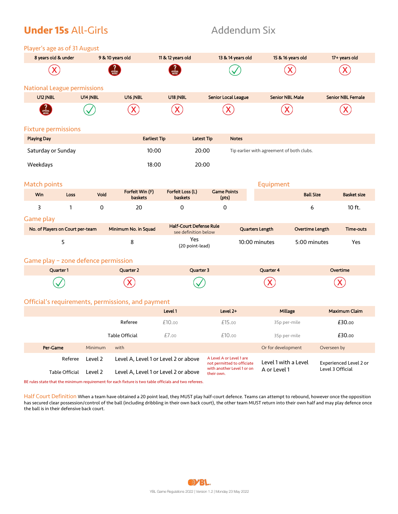## **Under 15s** All-Girls **Addendum Six**

| Player's age as of 31 August |  |
|------------------------------|--|
|------------------------------|--|

| 8 years old & under                 |              | 9 & 10 years old |                                                   | 11 & 12 years old           |                                                        | 13 & 14 years old           | 15 & 16 years old                         |                        | 17+ years old            |
|-------------------------------------|--------------|------------------|---------------------------------------------------|-----------------------------|--------------------------------------------------------|-----------------------------|-------------------------------------------|------------------------|--------------------------|
|                                     |              |                  |                                                   |                             |                                                        |                             |                                           |                        | $\overline{\mathsf{X}}$  |
| <b>National League permissions</b>  |              |                  |                                                   |                             |                                                        |                             |                                           |                        |                          |
| U12 JNBL                            |              | U14 JNBL         | U16 JNBL                                          | U18 JNBL                    |                                                        | Senior Local League         | <b>Senior NBL Male</b>                    |                        | <b>Senior NBL Female</b> |
|                                     |              |                  |                                                   |                             |                                                        |                             |                                           |                        |                          |
| <b>Fixture permissions</b>          |              |                  |                                                   |                             |                                                        |                             |                                           |                        |                          |
| <b>Playing Day</b>                  |              |                  | <b>Earliest Tip</b>                               |                             | <b>Latest Tip</b>                                      | <b>Notes</b>                |                                           |                        |                          |
| Saturday or Sunday                  |              |                  | 10:00                                             |                             | 20:00                                                  |                             | Tip earlier with agreement of both clubs. |                        |                          |
| Weekdays                            |              |                  | 18:00                                             |                             | 20:00                                                  |                             |                                           |                        |                          |
|                                     |              |                  |                                                   |                             |                                                        |                             |                                           |                        |                          |
| Match points                        |              |                  |                                                   |                             |                                                        |                             | Equipment                                 |                        |                          |
| Win                                 | <b>Loss</b>  | Void             | Forfeit Win (F)<br><b>baskets</b>                 | Forfeit Loss (L)<br>baskets |                                                        | <b>Game Points</b><br>(pts) |                                           | <b>Ball Size</b>       | <b>Basket size</b>       |
| 3                                   | $\mathbf{1}$ | 0                | 20                                                | 0                           |                                                        | 0                           |                                           | 6                      | 10 ft.                   |
| Game play                           |              |                  |                                                   |                             |                                                        |                             |                                           |                        |                          |
| No. of Players on Court per-team    |              |                  | Minimum No. in Squad                              |                             | <b>Half-Court Defense Rule</b><br>see definition below |                             | Quarters Length                           | <b>Overtime Length</b> | <b>Time-outs</b>         |
|                                     | 5            |                  | 8                                                 |                             | Yes<br>(20 point-lead)                                 |                             | 10:00 minutes                             | 5:00 minutes           | Yes                      |
| Game play - zone defence permission |              |                  |                                                   |                             |                                                        |                             |                                           |                        |                          |
|                                     | Quarter 1    |                  | Quarter 2                                         |                             | Quarter 3                                              |                             | Quarter 4                                 |                        | Overtime                 |
|                                     |              |                  |                                                   |                             |                                                        |                             |                                           |                        |                          |
|                                     |              |                  |                                                   |                             |                                                        |                             |                                           |                        |                          |
|                                     |              |                  | Official's requirements, permissions, and payment | Level 1                     |                                                        | Level 2+                    | Millage                                   |                        | <b>Maximum Claim</b>     |
|                                     |              |                  | Referee                                           | £10.00                      |                                                        | £15.00                      | 35p per-mile                              |                        | £30.00                   |
|                                     |              |                  |                                                   |                             |                                                        |                             |                                           |                        |                          |
|                                     |              |                  | Table Official                                    | £7.00                       |                                                        | £10.00                      | 35p per-mile                              |                        | £30.00                   |

| Per-Game       | Minimum | with                                 |                                                        | Or for development   | Overseen by                   |
|----------------|---------|--------------------------------------|--------------------------------------------------------|----------------------|-------------------------------|
| Referee        | Level 2 | Level A, Level 1 or Level 2 or above | A Level A or Level 1 are<br>not permitted to officiate | Level 1 with a Level | <b>Experienced Level 2 or</b> |
| Table Official | Level 2 | Level A, Level 1 or Level 2 or above | with another Level 1 or on<br>their own.               | A or Level 1         | Level 3 Official              |

BE rules state that the minimum requirement for each fixture is two table officials and two referees.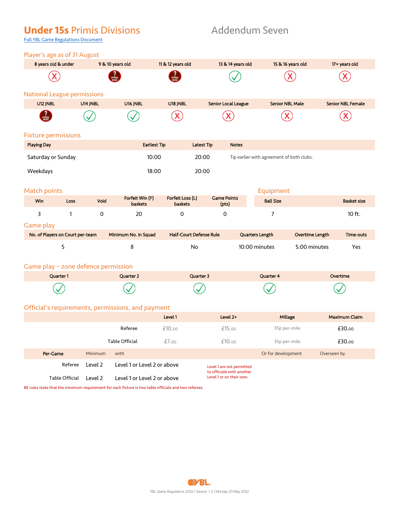## **Under 15s** Primis Divisions **Addendum Seven**

Full YBL Game Regulations Document

|                    | 8 years old & under                 |          | 9 & 10 years old                                  | 11 & 12 years old              |                   | 13 & 14 years old                                     |                                           | 15 & 16 years old      | 17+ years old            |
|--------------------|-------------------------------------|----------|---------------------------------------------------|--------------------------------|-------------------|-------------------------------------------------------|-------------------------------------------|------------------------|--------------------------|
|                    |                                     |          |                                                   |                                |                   |                                                       |                                           |                        |                          |
|                    | <b>National League permissions</b>  |          |                                                   |                                |                   |                                                       |                                           |                        |                          |
| U12 JNBL           |                                     | U14 JNBL | U16 JNBL                                          | U18 JNBL                       |                   | <b>Senior Local League</b>                            | <b>Senior NBL Male</b>                    |                        | <b>Senior NBL Female</b> |
|                    |                                     |          |                                                   |                                |                   |                                                       |                                           |                        |                          |
|                    | <b>Fixture permissions</b>          |          |                                                   |                                |                   |                                                       |                                           |                        |                          |
| <b>Playing Day</b> |                                     |          | <b>Earliest Tip</b>                               |                                | <b>Latest Tip</b> | <b>Notes</b>                                          |                                           |                        |                          |
|                    | Saturday or Sunday                  |          |                                                   | 10:00                          | 20:00             |                                                       | Tip earlier with agreement of both clubs. |                        |                          |
| Weekdays           |                                     |          | 18:00                                             |                                | 20:00             |                                                       |                                           |                        |                          |
|                    |                                     |          |                                                   |                                |                   |                                                       |                                           |                        |                          |
| Match points       |                                     |          |                                                   |                                |                   |                                                       | Equipment                                 |                        |                          |
| Win                | Loss                                | Void     | Forfeit Win (F)<br><b>baskets</b>                 | Forfeit Loss (L)<br>baskets    |                   | <b>Game Points</b><br>(pts)                           | <b>Ball Size</b>                          |                        | <b>Basket size</b>       |
| 3                  | $\mathbf{1}$                        | 0        | 20                                                | $\Omega$                       |                   | 0                                                     | $\overline{7}$                            |                        | 10 ft.                   |
| Game play          |                                     |          |                                                   |                                |                   |                                                       |                                           |                        |                          |
|                    | No. of Players on Court per-team    |          | Minimum No. in Squad                              | <b>Half-Court Defense Rule</b> |                   |                                                       | Quarters Length                           | <b>Overtime Length</b> | Time-outs                |
|                    | 5                                   |          | 8                                                 | <b>No</b>                      |                   |                                                       | 10:00 minutes                             | 5:00 minutes           | Yes                      |
|                    |                                     |          |                                                   |                                |                   |                                                       |                                           |                        |                          |
|                    | Game play - zone defence permission |          |                                                   |                                |                   |                                                       |                                           |                        |                          |
|                    | Quarter 1                           |          | Quarter 2                                         |                                | Quarter 3         |                                                       | Quarter 4                                 |                        | Overtime                 |
|                    |                                     |          |                                                   |                                |                   |                                                       |                                           |                        |                          |
|                    |                                     |          | Official's requirements, permissions, and payment |                                |                   |                                                       |                                           |                        |                          |
|                    |                                     |          |                                                   | Level 1                        |                   | Level 2+                                              | Millage                                   |                        | <b>Maximum Claim</b>     |
|                    |                                     |          | Referee                                           | £10.00                         |                   | £15.00                                                | 35p per-mile                              |                        | £30.00                   |
|                    |                                     |          | Table Official                                    | £7.00                          |                   | £10.00                                                | 35p per-mile                              |                        | £30.00                   |
|                    | Per-Game                            | Minimum  | with                                              |                                |                   |                                                       | Or for development                        |                        | Overseen by              |
|                    | Referee                             | Level 2  | Level 1 or Level 2 or above                       |                                |                   | Level 1 are not permitted                             |                                           |                        |                          |
|                    | Table Official                      | Level 2  | Level 1 or Level 2 or above                       |                                |                   | to officiate with another<br>Level 1 or on their own. |                                           |                        |                          |
|                    |                                     |          |                                                   |                                |                   |                                                       |                                           |                        |                          |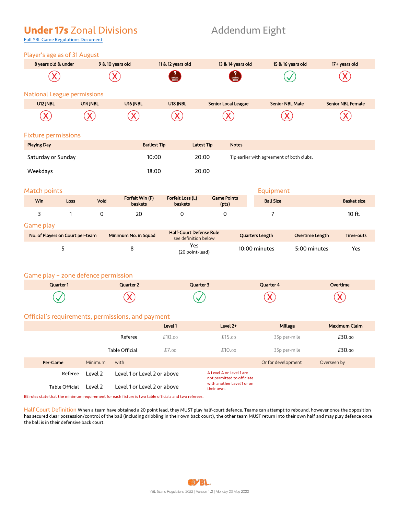## **Under 17s** Zonal Divisions **Addendum Eight**

Full YBL Game Regulations Document

| $\frac{1}{2}$ and $\frac{1}{2}$ and $\frac{1}{2}$ and $\frac{1}{2}$ and $\frac{1}{2}$ and $\frac{1}{2}$ and $\frac{1}{2}$ |                  |          |                         |                                |                        |                          |
|---------------------------------------------------------------------------------------------------------------------------|------------------|----------|-------------------------|--------------------------------|------------------------|--------------------------|
| 8 years old & under                                                                                                       | 9 & 10 years old |          | 11 & 12 years old       | 13 & 14 years old              | 15 & 16 years old      | 17+ years old            |
|                                                                                                                           |                  |          | <b>PARA</b><br>APPROVAL | <b>2</b><br>Approval<br>NEEDED |                        |                          |
| National League permissions                                                                                               |                  |          |                         |                                |                        |                          |
| U12 JNBL                                                                                                                  | U14 JNBL         | U16 JNBL | U18 JNBL                | <b>Senior Local League</b>     | <b>Senior NBL Male</b> | <b>Senior NBL Female</b> |
| X                                                                                                                         | X                |          |                         |                                |                        |                          |
|                                                                                                                           |                  |          |                         |                                |                        |                          |

### Fixture permissions

| <b>Playing Day</b> | <b>Earliest Tip</b> | <b>Latest Tip</b> | <b>Notes</b>                              |
|--------------------|---------------------|-------------------|-------------------------------------------|
| Saturday or Sunday | 10:00               | 20:00             | Tip earlier with agreement of both clubs. |
| Weekdays           | 18:00               | 20:00             |                                           |

### Match points **Equipment** Equipment

| <b>Win</b> | Loss | Void | Forfeit Win (F)<br>Forfeit Loss (L)<br><b>Game Points</b><br>(pts)<br><b>baskets</b><br>baskets |  | _______.__<br><b>Ball Size</b> | <b>Basket size</b> |        |
|------------|------|------|-------------------------------------------------------------------------------------------------|--|--------------------------------|--------------------|--------|
|            |      |      | 20                                                                                              |  |                                |                    | 10 ft. |

### Game play

| No. of Players on Court per-team | Minimum No. in Squad | <b>Half-Court Defense Rule</b><br>see definition below | Quarters Length | Overtime Length | Time-outs |
|----------------------------------|----------------------|--------------------------------------------------------|-----------------|-----------------|-----------|
|                                  |                      | Yes<br>(20 point-lead)                                 | 10:00 minutes   | 5:00 minutes    | Yes       |

### Game play – zone defence permission

| Quarter 1 | Quarter 2 | Quarter 3 | Quarter 4 | Overtime |
|-----------|-----------|-----------|-----------|----------|
|           |           |           |           |          |

### Official's requirements, permissions, and payment

|                |                |                             | Level 1                     | Level 2+                                               | Millage            | <b>Maximum Claim</b> |  |
|----------------|----------------|-----------------------------|-----------------------------|--------------------------------------------------------|--------------------|----------------------|--|
|                |                | Referee                     | £10.00                      | £15.00                                                 | 35p per-mile       | £30.00               |  |
|                | Table Official |                             | £7.00                       | £10.00                                                 | 35p per-mile       | £30.00               |  |
| Per-Game       | Minimum        | with                        |                             |                                                        | Or for development | Overseen by          |  |
| Referee        | Level 2        |                             | Level 1 or Level 2 or above | A Level A or Level 1 are<br>not permitted to officiate |                    |                      |  |
| Table Official | Level 2        | Level 1 or Level 2 or above |                             | with another Level 1 or on<br>their own.               |                    |                      |  |

BE rules state that the minimum requirement for each fixture is two table officials and two referees.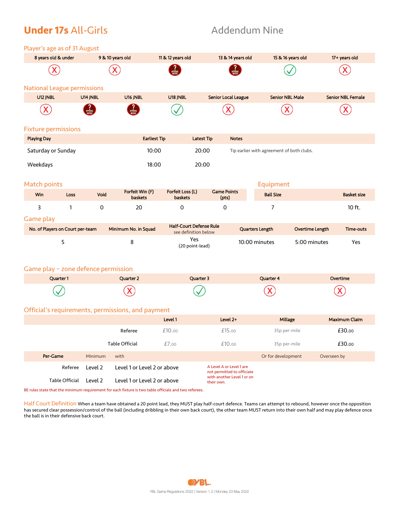## **Under 17s** All-Girls **Addendum Nine**

Player's age as of 31 August

| 8 years old & under                 |                |          | 9 & 10 years old                                                                                                                     | 11 & 12 years old                                      |                   | 13 & 14 years old                                                                    |                                           | 15 & 16 years old | 17+ years old            |
|-------------------------------------|----------------|----------|--------------------------------------------------------------------------------------------------------------------------------------|--------------------------------------------------------|-------------------|--------------------------------------------------------------------------------------|-------------------------------------------|-------------------|--------------------------|
|                                     |                |          |                                                                                                                                      |                                                        |                   |                                                                                      |                                           |                   |                          |
| <b>National League permissions</b>  |                |          |                                                                                                                                      |                                                        |                   |                                                                                      |                                           |                   |                          |
| U12 JNBL                            |                | U14 JNBL | U16 JNBL                                                                                                                             | U18 JNBL                                               |                   | <b>Senior Local League</b>                                                           | <b>Senior NBL Male</b>                    |                   | <b>Senior NBL Female</b> |
|                                     |                |          |                                                                                                                                      |                                                        |                   |                                                                                      |                                           |                   |                          |
| <b>Fixture permissions</b>          |                |          |                                                                                                                                      |                                                        |                   |                                                                                      |                                           |                   |                          |
| <b>Playing Day</b>                  |                |          | <b>Earliest Tip</b>                                                                                                                  |                                                        | <b>Latest Tip</b> | <b>Notes</b>                                                                         |                                           |                   |                          |
| Saturday or Sunday                  |                |          | 10:00                                                                                                                                |                                                        | 20:00             |                                                                                      | Tip earlier with agreement of both clubs. |                   |                          |
| Weekdays                            |                |          | 18:00                                                                                                                                |                                                        | 20:00             |                                                                                      |                                           |                   |                          |
| Match points                        |                |          |                                                                                                                                      |                                                        |                   |                                                                                      | Equipment                                 |                   |                          |
| Win                                 | Loss           | Void     | Forfeit Win (F)<br>baskets                                                                                                           | Forfeit Loss (L)<br>baskets                            |                   | <b>Game Points</b><br>(pts)                                                          | <b>Ball Size</b>                          |                   | <b>Basket size</b>       |
| 3                                   | 1              | 0        | 20                                                                                                                                   | 0                                                      |                   | 0                                                                                    | 7                                         |                   | 10 ft.                   |
| Game play                           |                |          |                                                                                                                                      |                                                        |                   |                                                                                      |                                           |                   |                          |
| No. of Players on Court per-team    |                |          | Minimum No. in Squad                                                                                                                 | <b>Half-Court Defense Rule</b><br>see definition below |                   |                                                                                      | Quarters Length                           | Overtime Length   | Time-outs                |
|                                     | 5              |          | 8                                                                                                                                    | Yes<br>(20 point-lead)                                 |                   |                                                                                      | 10:00 minutes                             | 5:00 minutes      | Yes                      |
| Game play - zone defence permission |                |          |                                                                                                                                      |                                                        |                   |                                                                                      |                                           |                   |                          |
|                                     | Quarter 1      |          | Quarter 2                                                                                                                            | Quarter 3                                              |                   |                                                                                      | Quarter 4                                 |                   | Overtime                 |
|                                     |                |          |                                                                                                                                      |                                                        |                   |                                                                                      |                                           |                   |                          |
|                                     |                |          | Official's requirements, permissions, and payment                                                                                    |                                                        |                   |                                                                                      |                                           |                   |                          |
|                                     |                |          |                                                                                                                                      | Level 1                                                |                   | Level 2+                                                                             | Millage                                   |                   | <b>Maximum Claim</b>     |
|                                     |                |          | Referee                                                                                                                              | £10.00                                                 |                   | £15.00                                                                               | 35p per-mile                              |                   | £30.00                   |
|                                     |                |          | Table Official                                                                                                                       | £7.00                                                  |                   | £10.00                                                                               | 35p per-mile                              |                   | £30.00                   |
| Per-Game                            |                | Minimum  | with                                                                                                                                 |                                                        |                   |                                                                                      | Or for development                        |                   | Overseen by              |
|                                     | Referee        | Level 2  | Level 1 or Level 2 or above                                                                                                          |                                                        |                   | A Level A or Level 1 are<br>not permitted to officiate<br>with another Level 1 or on |                                           |                   |                          |
|                                     | Table Official | Level 2  | Level 1 or Level 2 or above<br>BE rules state that the minimum requirement for each fixture is two table officials and two referees. |                                                        | their own.        |                                                                                      |                                           |                   |                          |
|                                     |                |          |                                                                                                                                      |                                                        |                   |                                                                                      |                                           |                   |                          |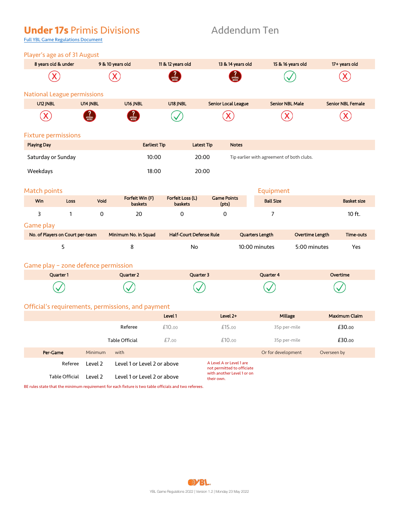## **Under 17s** Primis Divisions Addendum Ten

## Full YBL Game Regulations Document

| Player's age as of 31 August        |                                     |                                   |                                |                             |                   |                                           |                 |                          |
|-------------------------------------|-------------------------------------|-----------------------------------|--------------------------------|-----------------------------|-------------------|-------------------------------------------|-----------------|--------------------------|
| 8 years old & under                 |                                     | 9 & 10 years old                  | 11 & 12 years old              |                             | 13 & 14 years old | 15 & 16 years old                         |                 | 17+ years old            |
|                                     |                                     |                                   |                                |                             |                   |                                           |                 |                          |
| <b>National League permissions</b>  |                                     |                                   |                                |                             |                   |                                           |                 |                          |
| U12 JNBL                            | U14 JNBL                            | U16 JNBL                          | U18 JNBL                       | <b>Senior Local League</b>  |                   | <b>Senior NBL Male</b>                    |                 | <b>Senior NBL Female</b> |
|                                     |                                     |                                   |                                |                             |                   |                                           |                 |                          |
| <b>Fixture permissions</b>          |                                     |                                   |                                |                             |                   |                                           |                 |                          |
| <b>Playing Day</b>                  |                                     | <b>Earliest Tip</b>               |                                | <b>Latest Tip</b>           | <b>Notes</b>      |                                           |                 |                          |
| Saturday or Sunday                  |                                     | 10:00                             |                                | 20:00                       |                   | Tip earlier with agreement of both clubs. |                 |                          |
| Weekdays                            |                                     | 18:00                             |                                | 20:00                       |                   |                                           |                 |                          |
| <b>Match points</b>                 |                                     |                                   |                                |                             |                   | Equipment                                 |                 |                          |
| Win                                 | Void<br>Loss                        | Forfeit Win (F)<br><b>baskets</b> | Forfeit Loss (L)<br>baskets    | <b>Game Points</b><br>(pts) |                   | <b>Ball Size</b>                          |                 | <b>Basket size</b>       |
| 3                                   | $\mathsf{O}\xspace$<br>$\mathbf{1}$ | 20                                | $\mathbf 0$                    | $\mathbf 0$                 |                   | 7                                         |                 | 10 ft.                   |
| Game play                           |                                     |                                   |                                |                             |                   |                                           |                 |                          |
| No. of Players on Court per-team    |                                     | Minimum No. in Squad              | <b>Half-Court Defense Rule</b> |                             |                   | Quarters Length                           | Overtime Length | Time-outs                |
| 5                                   |                                     | 8                                 | <b>No</b>                      |                             |                   | 10:00 minutes                             | 5:00 minutes    | Yes                      |
| Game play - zone defence permission |                                     |                                   |                                |                             |                   |                                           |                 |                          |
| Quarter 1                           |                                     | Quarter 2                         |                                | Quarter 3                   |                   | Quarter 4                                 |                 | Overtime                 |
|                                     |                                     |                                   |                                |                             |                   |                                           |                 |                          |

### Official's requirements, permissions, and payment

|                |                |                | Level 1                     | Level 2+                                               | Millage            | <b>Maximum Claim</b> |
|----------------|----------------|----------------|-----------------------------|--------------------------------------------------------|--------------------|----------------------|
|                |                | Referee        | £10.00                      | £15.00                                                 | 35p per-mile       | £30.00               |
|                |                | Table Official | £7.00                       | £10.00                                                 | 35p per-mile       | £30.00               |
| Per-Game       | <b>Minimum</b> | with           |                             |                                                        | Or for development | Overseen by          |
| Referee        | Level 2        |                | Level 1 or Level 2 or above | A Level A or Level 1 are<br>not permitted to officiate |                    |                      |
| Table Official | Level 2        |                | Level 1 or Level 2 or above | with another Level 1 or on<br>their own.               |                    |                      |

BE rules state that the minimum requirement for each fixture is two table officials and two referees.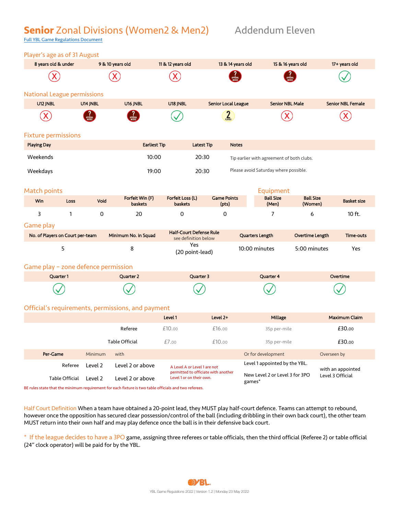## **Senior** Zonal Divisions (Women2 & Men2) Addendum Eleven

Full YBL Game Regulations Document

| 8 years old & under<br>9 & 10 years old<br>11 & 12 years old<br>13 & 14 years old<br>15 & 16 years old<br><b>National League permissions</b><br>U12 JNBL<br>U14 JNBL<br>U16 JNBL<br>U18 JNBL<br><b>Senior Local League</b><br><b>Senior NBL Male</b><br>$\frac{2}{\frac{2}{\frac{2}{\pi}}}\$<br><b>Fixture permissions</b><br><b>Playing Day</b><br><b>Notes</b><br><b>Earliest Tip</b><br><b>Latest Tip</b><br>10:00<br>20:30<br>Weekends<br>Tip earlier with agreement of both clubs.<br>Please avoid Saturday where possible.<br>Weekdays<br>19:00<br>20:30<br>Match points<br>Equipment<br>Forfeit Loss (L)<br>Forfeit Win (F)<br><b>Game Points</b><br><b>Ball Size</b><br><b>Ball Size</b><br><b>Win</b><br>Void<br>Loss<br><b>baskets</b><br>baskets<br>(pts)<br>(Men)<br>(Women)<br>3<br>$\mathbf{1}$<br>0<br>7<br>20<br>0<br>0<br>6<br>Game play<br><b>Half-Court Defense Rule</b><br>Minimum No. in Squad<br>No. of Players on Court per-team<br>Quarters Length<br>Overtime Length<br>see definition below<br>Yes<br>5<br>8<br>10:00 minutes<br>5:00 minutes<br>(20 point-lead)<br>Game play - zone defence permission<br>Quarter 3<br>Quarter 4<br>Quarter 1<br>Quarter 2 | 17+ years old<br><b>Senior NBL Female</b> |  |
|---------------------------------------------------------------------------------------------------------------------------------------------------------------------------------------------------------------------------------------------------------------------------------------------------------------------------------------------------------------------------------------------------------------------------------------------------------------------------------------------------------------------------------------------------------------------------------------------------------------------------------------------------------------------------------------------------------------------------------------------------------------------------------------------------------------------------------------------------------------------------------------------------------------------------------------------------------------------------------------------------------------------------------------------------------------------------------------------------------------------------------------------------------------------------------------|-------------------------------------------|--|
|                                                                                                                                                                                                                                                                                                                                                                                                                                                                                                                                                                                                                                                                                                                                                                                                                                                                                                                                                                                                                                                                                                                                                                                       |                                           |  |
|                                                                                                                                                                                                                                                                                                                                                                                                                                                                                                                                                                                                                                                                                                                                                                                                                                                                                                                                                                                                                                                                                                                                                                                       |                                           |  |
|                                                                                                                                                                                                                                                                                                                                                                                                                                                                                                                                                                                                                                                                                                                                                                                                                                                                                                                                                                                                                                                                                                                                                                                       |                                           |  |
|                                                                                                                                                                                                                                                                                                                                                                                                                                                                                                                                                                                                                                                                                                                                                                                                                                                                                                                                                                                                                                                                                                                                                                                       |                                           |  |
|                                                                                                                                                                                                                                                                                                                                                                                                                                                                                                                                                                                                                                                                                                                                                                                                                                                                                                                                                                                                                                                                                                                                                                                       |                                           |  |
|                                                                                                                                                                                                                                                                                                                                                                                                                                                                                                                                                                                                                                                                                                                                                                                                                                                                                                                                                                                                                                                                                                                                                                                       |                                           |  |
|                                                                                                                                                                                                                                                                                                                                                                                                                                                                                                                                                                                                                                                                                                                                                                                                                                                                                                                                                                                                                                                                                                                                                                                       |                                           |  |
|                                                                                                                                                                                                                                                                                                                                                                                                                                                                                                                                                                                                                                                                                                                                                                                                                                                                                                                                                                                                                                                                                                                                                                                       |                                           |  |
|                                                                                                                                                                                                                                                                                                                                                                                                                                                                                                                                                                                                                                                                                                                                                                                                                                                                                                                                                                                                                                                                                                                                                                                       |                                           |  |
|                                                                                                                                                                                                                                                                                                                                                                                                                                                                                                                                                                                                                                                                                                                                                                                                                                                                                                                                                                                                                                                                                                                                                                                       |                                           |  |
|                                                                                                                                                                                                                                                                                                                                                                                                                                                                                                                                                                                                                                                                                                                                                                                                                                                                                                                                                                                                                                                                                                                                                                                       | <b>Basket size</b>                        |  |
|                                                                                                                                                                                                                                                                                                                                                                                                                                                                                                                                                                                                                                                                                                                                                                                                                                                                                                                                                                                                                                                                                                                                                                                       | 10 ft.                                    |  |
|                                                                                                                                                                                                                                                                                                                                                                                                                                                                                                                                                                                                                                                                                                                                                                                                                                                                                                                                                                                                                                                                                                                                                                                       |                                           |  |
|                                                                                                                                                                                                                                                                                                                                                                                                                                                                                                                                                                                                                                                                                                                                                                                                                                                                                                                                                                                                                                                                                                                                                                                       | Time-outs                                 |  |
|                                                                                                                                                                                                                                                                                                                                                                                                                                                                                                                                                                                                                                                                                                                                                                                                                                                                                                                                                                                                                                                                                                                                                                                       | Yes                                       |  |
|                                                                                                                                                                                                                                                                                                                                                                                                                                                                                                                                                                                                                                                                                                                                                                                                                                                                                                                                                                                                                                                                                                                                                                                       |                                           |  |
|                                                                                                                                                                                                                                                                                                                                                                                                                                                                                                                                                                                                                                                                                                                                                                                                                                                                                                                                                                                                                                                                                                                                                                                       | Overtime                                  |  |
|                                                                                                                                                                                                                                                                                                                                                                                                                                                                                                                                                                                                                                                                                                                                                                                                                                                                                                                                                                                                                                                                                                                                                                                       |                                           |  |
| Official's requirements, permissions, and payment                                                                                                                                                                                                                                                                                                                                                                                                                                                                                                                                                                                                                                                                                                                                                                                                                                                                                                                                                                                                                                                                                                                                     |                                           |  |
| Millage<br>Level 1<br>Level 2+                                                                                                                                                                                                                                                                                                                                                                                                                                                                                                                                                                                                                                                                                                                                                                                                                                                                                                                                                                                                                                                                                                                                                        | <b>Maximum Claim</b>                      |  |
| Referee<br>£10.00<br>£16.00<br>35p per-mile                                                                                                                                                                                                                                                                                                                                                                                                                                                                                                                                                                                                                                                                                                                                                                                                                                                                                                                                                                                                                                                                                                                                           | £30.00                                    |  |
| £7.00<br>£10.00<br>Table Official<br>35p per-mile                                                                                                                                                                                                                                                                                                                                                                                                                                                                                                                                                                                                                                                                                                                                                                                                                                                                                                                                                                                                                                                                                                                                     | £30.00                                    |  |
| Or for development<br>Per-Game<br>Minimum<br>with<br>Overseen by                                                                                                                                                                                                                                                                                                                                                                                                                                                                                                                                                                                                                                                                                                                                                                                                                                                                                                                                                                                                                                                                                                                      |                                           |  |
| Level 1 appointed by the YBL.<br>Referee<br>Level 2 or above<br>Level 2<br>A Level A or Level 1 are not                                                                                                                                                                                                                                                                                                                                                                                                                                                                                                                                                                                                                                                                                                                                                                                                                                                                                                                                                                                                                                                                               | with an appointed                         |  |
| permitted to officiate with another<br>New Level 2 or Level 3 for 3PO<br>Level 3 Official<br>Level 1 or on their own.<br>Table Official<br>Level 2<br>Level 2 or above<br>games*                                                                                                                                                                                                                                                                                                                                                                                                                                                                                                                                                                                                                                                                                                                                                                                                                                                                                                                                                                                                      |                                           |  |

Half Court Definition When a team have obtained a 20-point lead, they MUST play half-court defence. Teams can attempt to rebound, however once the opposition has secured clear possession/control of the ball (including dribbling in their own back court), the other team MUST return into their own half and may play defence once the ball is in their defensive back court.

\* If the league decides to have a 3PO game, assigning three referees or table officials, then the third official (Referee 2) or table official (24" clock operator) will be paid for by the YBL.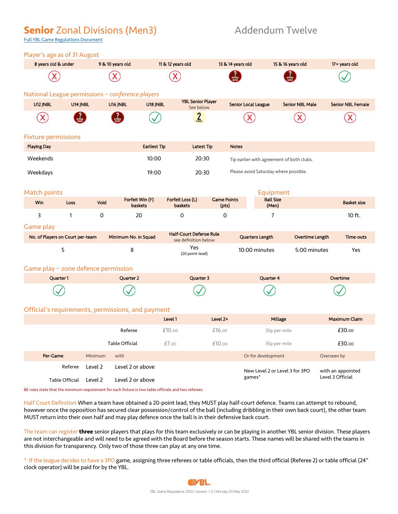## **Senior** Zonal Divisions (Men3) Addendum Twelve

Full YBL Game Regulations Document

| Player's age as of 31 August        |                |         |                                                                                                       |                                                        |                             |                     |                                           |                        |                          |
|-------------------------------------|----------------|---------|-------------------------------------------------------------------------------------------------------|--------------------------------------------------------|-----------------------------|---------------------|-------------------------------------------|------------------------|--------------------------|
| 8 years old & under                 |                |         | 9 & 10 years old                                                                                      | 11 & 12 years old                                      |                             | 13 & 14 years old   |                                           | 15 & 16 years old      | 17+ years old            |
|                                     |                |         |                                                                                                       |                                                        |                             |                     |                                           |                        |                          |
|                                     |                |         | National League permissions - conference players                                                      |                                                        |                             |                     |                                           |                        |                          |
| U12 JNBL                            | U14 JNBL       |         | U16 JNBL<br>U18 JNBL                                                                                  | <b>YBL Senior Player</b><br>See below                  |                             | Senior Local League |                                           | <b>Senior NBL Male</b> | <b>Senior NBL Female</b> |
|                                     |                |         |                                                                                                       | 2 <sub>5</sub>                                         |                             |                     |                                           |                        |                          |
| <b>Fixture permissions</b>          |                |         |                                                                                                       |                                                        |                             |                     |                                           |                        |                          |
| <b>Playing Day</b>                  |                |         | <b>Earliest Tip</b>                                                                                   |                                                        | <b>Latest Tip</b>           | <b>Notes</b>        |                                           |                        |                          |
| Weekends                            |                |         | 10:00                                                                                                 |                                                        | 20:30                       |                     | Tip earlier with agreement of both clubs. |                        |                          |
| Weekdays                            |                |         | 19:00                                                                                                 |                                                        | 20:30                       |                     | Please avoid Saturday where possible.     |                        |                          |
| <b>Match points</b><br>Win          | Loss           | Void    | Forfeit Win (F)<br><b>baskets</b>                                                                     | Forfeit Loss (L)<br><b>baskets</b>                     | <b>Game Points</b><br>(pts) |                     | Equipment<br><b>Ball Size</b><br>(Men)    |                        | <b>Basket size</b>       |
| 3                                   | $\mathbf{1}$   | 0       | 20                                                                                                    | 0                                                      | 0                           |                     | 7                                         |                        | 10 ft.                   |
| Game play                           |                |         |                                                                                                       |                                                        |                             |                     |                                           |                        |                          |
| No. of Players on Court per-team    |                |         | Minimum No. in Squad                                                                                  | <b>Half-Court Defense Rule</b><br>see definition below |                             |                     | Quarters Length                           | Overtime Length        | Time-outs                |
|                                     | 5              |         | 8                                                                                                     | Yes<br>(20 point-lead)                                 |                             |                     | 10:00 minutes                             | 5:00 minutes           | Yes                      |
| Game play - zone defence permission |                |         |                                                                                                       |                                                        |                             |                     |                                           |                        |                          |
|                                     | Quarter 1      |         | Quarter 2                                                                                             | Quarter 3                                              |                             |                     | Quarter 4                                 |                        | Overtime                 |
|                                     |                |         |                                                                                                       |                                                        |                             |                     |                                           |                        |                          |
|                                     |                |         | Official's requirements, permissions, and payment                                                     |                                                        |                             |                     |                                           |                        |                          |
|                                     |                |         |                                                                                                       | Level 1                                                | Level 2+                    |                     | Millage                                   |                        | Maximum Claim            |
|                                     |                |         | Referee                                                                                               | £10.00                                                 | £16.00                      |                     | 35p per-mile                              |                        | £30.00                   |
|                                     |                |         | Table Official                                                                                        | £7.00                                                  | £10.00                      |                     | 35p per-mile                              |                        | £30.00                   |
| Per-Game                            |                | Minimum | with                                                                                                  |                                                        |                             |                     | Or for development                        |                        | Overseen by              |
|                                     | Referee        | Level 2 | Level 2 or above                                                                                      |                                                        |                             |                     | New Level 2 or Level 3 for 3PO            |                        | with an appointed        |
|                                     | Table Official | Level 2 | Level 2 or above                                                                                      |                                                        |                             |                     | games*                                    |                        | Level 3 Official         |
|                                     |                |         | BE rules state that the minimum requirement for each fixture is two table officials and two referees. |                                                        |                             |                     |                                           |                        |                          |
|                                     |                |         |                                                                                                       |                                                        |                             |                     |                                           |                        |                          |

Half Court Definition When a team have obtained a 20-point lead, they MUST play half-court defence. Teams can attempt to rebound, however once the opposition has secured clear possession/control of the ball (including dribbling in their own back court), the other team MUST return into their own half and may play defence once the ball is in their defensive back court.

The team can register **three** senior players that plays for this team exclusively or can be playing in another YBL senior division. These players are not interchangeable and will need to be agreed with the Board before the season starts. These names will be shared with the teams in this division for transparency. Only two of those three can play at any one time.

\* If the league decides to have a 3PO game, assigning three referees or table officials, then the third official (Referee 2) or table official (24" clock operator) will be paid for by the YBL.